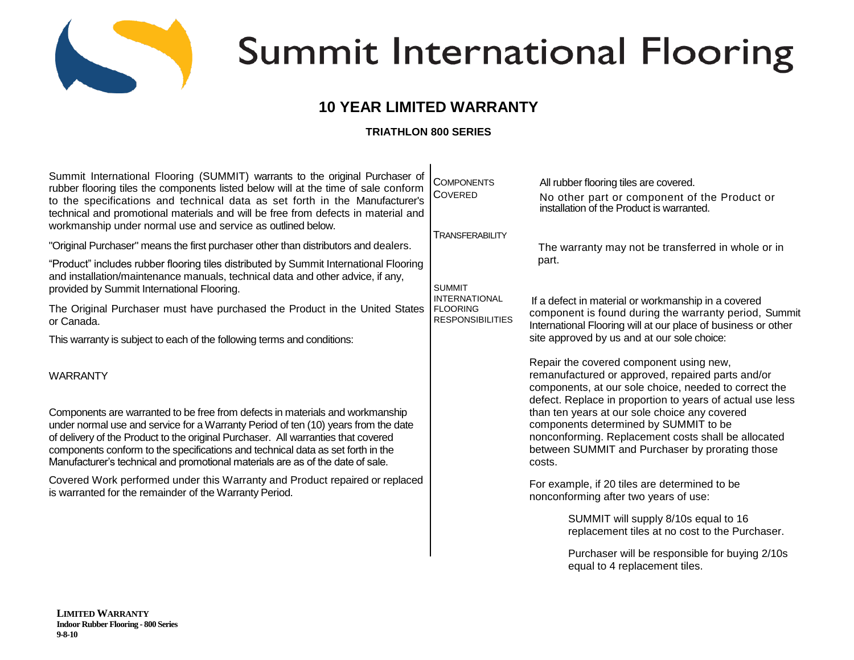

# Summit International Flooring

# **10 YEAR LIMITED WARRANTY**

## **TRIATHLON 800 SERIES**

| Summit International Flooring (SUMMIT) warrants to the original Purchaser of<br>rubber flooring tiles the components listed below will at the time of sale conform<br>to the specifications and technical data as set forth in the Manufacturer's<br>technical and promotional materials and will be free from defects in material and<br>workmanship under normal use and service as outlined below.                         | <b>COMPONENTS</b><br><b>COVERED</b>                                                                           | All rubber flooring tiles are covered.<br>No other part or component of the Product or<br>installation of the Product is warranted.                                                                                                                                                                                                                                                                                              |
|-------------------------------------------------------------------------------------------------------------------------------------------------------------------------------------------------------------------------------------------------------------------------------------------------------------------------------------------------------------------------------------------------------------------------------|---------------------------------------------------------------------------------------------------------------|----------------------------------------------------------------------------------------------------------------------------------------------------------------------------------------------------------------------------------------------------------------------------------------------------------------------------------------------------------------------------------------------------------------------------------|
| "Original Purchaser" means the first purchaser other than distributors and dealers.                                                                                                                                                                                                                                                                                                                                           | <b>TRANSFERABILITY</b><br><b>SUMMIT</b><br><b>INTERNATIONAL</b><br><b>FLOORING</b><br><b>RESPONSIBILITIES</b> | The warranty may not be transferred in whole or in<br>part.<br>If a defect in material or workmanship in a covered<br>component is found during the warranty period, Summit<br>International Flooring will at our place of business or other<br>site approved by us and at our sole choice:                                                                                                                                      |
| "Product" includes rubber flooring tiles distributed by Summit International Flooring<br>and installation/maintenance manuals, technical data and other advice, if any,<br>provided by Summit International Flooring.                                                                                                                                                                                                         |                                                                                                               |                                                                                                                                                                                                                                                                                                                                                                                                                                  |
| The Original Purchaser must have purchased the Product in the United States<br>or Canada.                                                                                                                                                                                                                                                                                                                                     |                                                                                                               |                                                                                                                                                                                                                                                                                                                                                                                                                                  |
| This warranty is subject to each of the following terms and conditions:                                                                                                                                                                                                                                                                                                                                                       |                                                                                                               |                                                                                                                                                                                                                                                                                                                                                                                                                                  |
| <b>WARRANTY</b>                                                                                                                                                                                                                                                                                                                                                                                                               |                                                                                                               | Repair the covered component using new,<br>remanufactured or approved, repaired parts and/or<br>components, at our sole choice, needed to correct the<br>defect. Replace in proportion to years of actual use less<br>than ten years at our sole choice any covered<br>components determined by SUMMIT to be<br>nonconforming. Replacement costs shall be allocated<br>between SUMMIT and Purchaser by prorating those<br>costs. |
| Components are warranted to be free from defects in materials and workmanship<br>under normal use and service for a Warranty Period of ten (10) years from the date<br>of delivery of the Product to the original Purchaser. All warranties that covered<br>components conform to the specifications and technical data as set forth in the<br>Manufacturer's technical and promotional materials are as of the date of sale. |                                                                                                               |                                                                                                                                                                                                                                                                                                                                                                                                                                  |
| Covered Work performed under this Warranty and Product repaired or replaced<br>is warranted for the remainder of the Warranty Period.                                                                                                                                                                                                                                                                                         |                                                                                                               | For example, if 20 tiles are determined to be<br>nonconforming after two years of use:                                                                                                                                                                                                                                                                                                                                           |
|                                                                                                                                                                                                                                                                                                                                                                                                                               |                                                                                                               | SUMMIT will supply 8/10s equal to 16<br>replacement tiles at no cost to the Purchaser.                                                                                                                                                                                                                                                                                                                                           |
|                                                                                                                                                                                                                                                                                                                                                                                                                               |                                                                                                               | Purchaser will be responsible for buying 2/10s<br>equal to 4 replacement tiles.                                                                                                                                                                                                                                                                                                                                                  |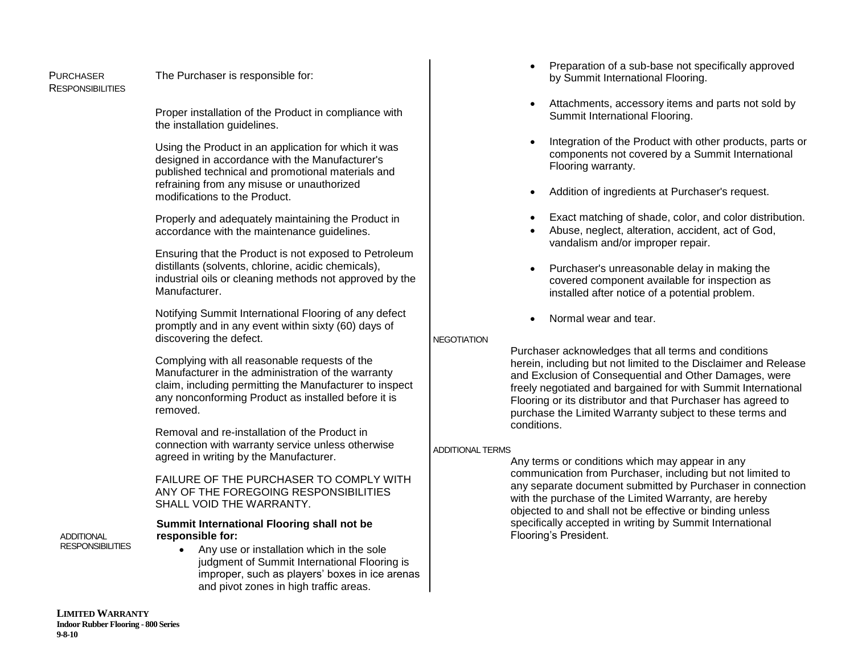RESPONSIBILITIES

#### PURCHASER The Purchaser is responsible for:

Proper installation of the Product in compliance with the installation guidelines.

Using the Product in an application for which it was designed in accordance with the Manufacturer's published technical and promotional materials and refraining from any misuse or unauthorized modifications to the Product.

Properly and adequately maintaining the Product in accordance with the maintenance guidelines.

Ensuring that the Product is not exposed to Petroleum distillants (solvents, chlorine, acidic chemicals), industrial oils or cleaning methods not approved by the Manufacturer.

Notifying Summit International Flooring of any defect promptly and in any event within sixty (60) days of discovering the defect.

Complying with all reasonable requests of the Manufacturer in the administration of the warranty claim, including permitting the Manufacturer to inspect any nonconforming Product as installed before it is removed.

Removal and re-installation of the Product in connection with warranty service unless otherwise agreed in writing by the Manufacturer.

FAILURE OF THE PURCHASER TO COMPLY WITH ANY OF THE FOREGOING RESPONSIBILITIES SHALL VOID THE WARRANTY.

**ADDITIONAL RESPONSIBILITIES** 

### **Summit International Flooring shall not be responsible for:**

 Any use or installation which in the sole judgment of Summit International Flooring is improper, such as players' boxes in ice arenas and pivot zones in high traffic areas.

- Preparation of a sub-base not specifically approved by Summit International Flooring.
- Attachments, accessory items and parts not sold by Summit International Flooring.
- Integration of the Product with other products, parts or components not covered by a Summit International Flooring warranty.
- Addition of ingredients at Purchaser's request.
- Exact matching of shade, color, and color distribution.
- Abuse, neglect, alteration, accident, act of God, vandalism and/or improper repair.
- Purchaser's unreasonable delay in making the covered component available for inspection as installed after notice of a potential problem.
- Normal wear and tear.

### **NEGOTIATION**

Purchaser acknowledges that all terms and conditions herein, including but not limited to the Disclaimer and Release and Exclusion of Consequential and Other Damages, were freely negotiated and bargained for with Summit International Flooring or its distributor and that Purchaser has agreed to purchase the Limited Warranty subject to these terms and conditions.

### ADDITIONAL TERMS

Any terms or conditions which may appear in any communication from Purchaser, including but not limited to any separate document submitted by Purchaser in connection with the purchase of the Limited Warranty, are hereby objected to and shall not be effective or binding unless specifically accepted in writing by Summit International Flooring's President.